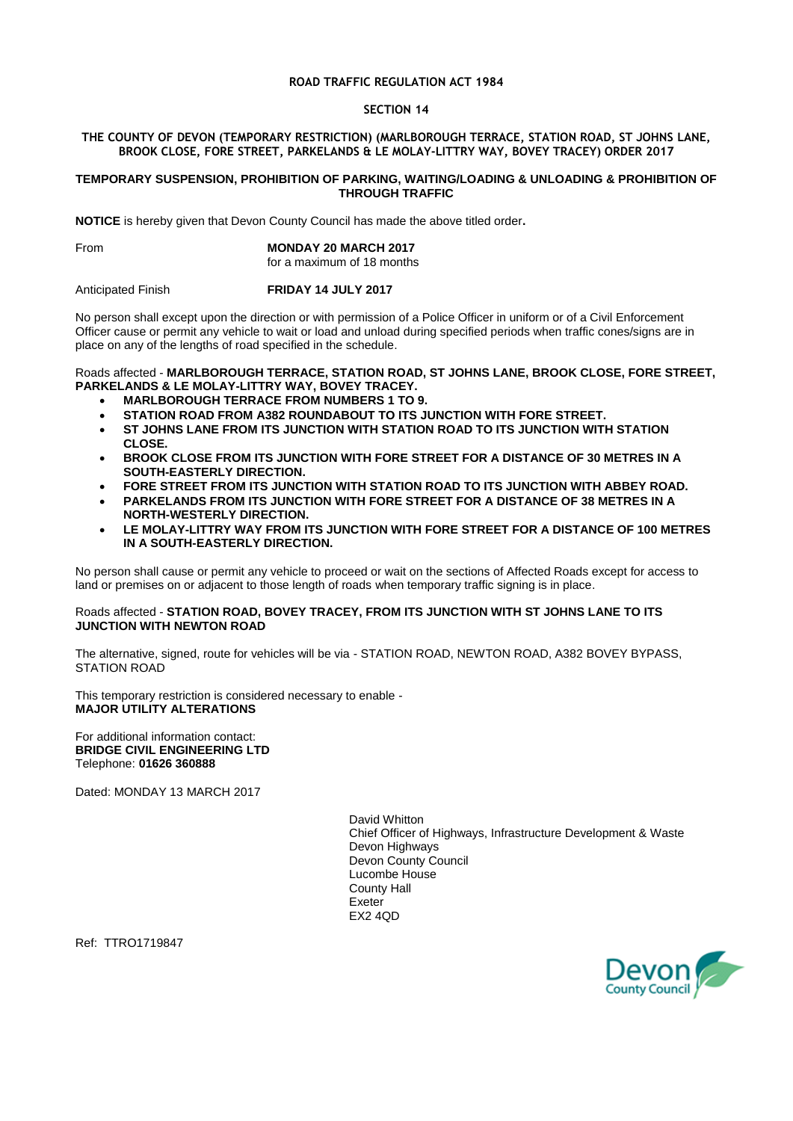## **ROAD TRAFFIC REGULATION ACT 1984**

### **SECTION 14**

## **THE COUNTY OF DEVON (TEMPORARY RESTRICTION) (MARLBOROUGH TERRACE, STATION ROAD, ST JOHNS LANE, BROOK CLOSE, FORE STREET, PARKELANDS & LE MOLAY-LITTRY WAY, BOVEY TRACEY) ORDER 2017**

#### **TEMPORARY SUSPENSION, PROHIBITION OF PARKING, WAITING/LOADING & UNLOADING & PROHIBITION OF THROUGH TRAFFIC**

**NOTICE** is hereby given that Devon County Council has made the above titled order**.**

## From **MONDAY 20 MARCH 2017**

for a maximum of 18 months

Anticipated Finish **FRIDAY 14 JULY 2017**

No person shall except upon the direction or with permission of a Police Officer in uniform or of a Civil Enforcement Officer cause or permit any vehicle to wait or load and unload during specified periods when traffic cones/signs are in place on any of the lengths of road specified in the schedule.

# Roads affected - **MARLBOROUGH TERRACE, STATION ROAD, ST JOHNS LANE, BROOK CLOSE, FORE STREET, PARKELANDS & LE MOLAY-LITTRY WAY, BOVEY TRACEY.**

- **MARLBOROUGH TERRACE FROM NUMBERS 1 TO 9.**
- **STATION ROAD FROM A382 ROUNDABOUT TO ITS JUNCTION WITH FORE STREET.**
- **ST JOHNS LANE FROM ITS JUNCTION WITH STATION ROAD TO ITS JUNCTION WITH STATION CLOSE.**
- **BROOK CLOSE FROM ITS JUNCTION WITH FORE STREET FOR A DISTANCE OF 30 METRES IN A SOUTH-EASTERLY DIRECTION.**
- **FORE STREET FROM ITS JUNCTION WITH STATION ROAD TO ITS JUNCTION WITH ABBEY ROAD.**
- **PARKELANDS FROM ITS JUNCTION WITH FORE STREET FOR A DISTANCE OF 38 METRES IN A NORTH-WESTERLY DIRECTION.**
- **LE MOLAY-LITTRY WAY FROM ITS JUNCTION WITH FORE STREET FOR A DISTANCE OF 100 METRES IN A SOUTH-EASTERLY DIRECTION.**

No person shall cause or permit any vehicle to proceed or wait on the sections of Affected Roads except for access to land or premises on or adjacent to those length of roads when temporary traffic signing is in place.

## Roads affected - **STATION ROAD, BOVEY TRACEY, FROM ITS JUNCTION WITH ST JOHNS LANE TO ITS JUNCTION WITH NEWTON ROAD**

The alternative, signed, route for vehicles will be via - STATION ROAD, NEWTON ROAD, A382 BOVEY BYPASS, STATION ROAD

This temporary restriction is considered necessary to enable - **MAJOR UTILITY ALTERATIONS**

For additional information contact: **BRIDGE CIVIL ENGINEERING LTD** Telephone: **01626 360888**

Dated: MONDAY 13 MARCH 2017

David Whitton Chief Officer of Highways, Infrastructure Development & Waste Devon Highways Devon County Council Lucombe House County Hall Exeter EX2 4QD

Ref: TTRO1719847